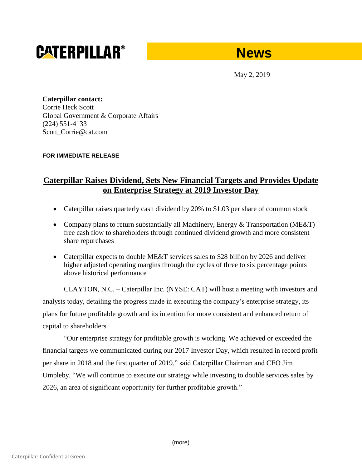# **CATERPILLAR®**

## **News**

May 2, 2019

**Caterpillar contact:** Corrie Heck Scott Global Government & Corporate Affairs (224) 551-4133 Scott\_Corrie@cat.com

#### **FOR IMMEDIATE RELEASE**

### **Caterpillar Raises Dividend, Sets New Financial Targets and Provides Update on Enterprise Strategy at 2019 Investor Day**

- Caterpillar raises quarterly cash dividend by 20% to \$1.03 per share of common stock
- Company plans to return substantially all Machinery, Energy & Transportation (ME&T) free cash flow to shareholders through continued dividend growth and more consistent share repurchases
- Caterpillar expects to double ME&T services sales to \$28 billion by 2026 and deliver higher adjusted operating margins through the cycles of three to six percentage points above historical performance

CLAYTON, N.C. – Caterpillar Inc. (NYSE: CAT) will host a meeting with investors and analysts today, detailing the progress made in executing the company's enterprise strategy, its plans for future profitable growth and its intention for more consistent and enhanced return of capital to shareholders.

"Our enterprise strategy for profitable growth is working. We achieved or exceeded the financial targets we communicated during our 2017 Investor Day, which resulted in record profit per share in 2018 and the first quarter of 2019," said Caterpillar Chairman and CEO Jim Umpleby. "We will continue to execute our strategy while investing to double services sales by 2026, an area of significant opportunity for further profitable growth."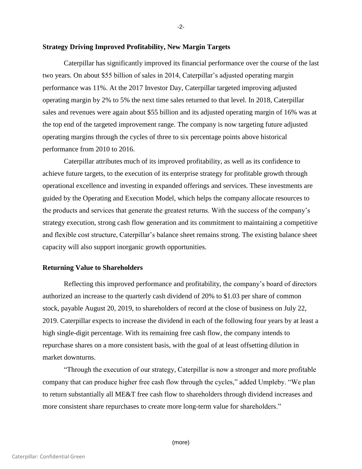#### **Strategy Driving Improved Profitability, New Margin Targets**

Caterpillar has significantly improved its financial performance over the course of the last two years. On about \$55 billion of sales in 2014, Caterpillar's adjusted operating margin performance was 11%. At the 2017 Investor Day, Caterpillar targeted improving adjusted operating margin by 2% to 5% the next time sales returned to that level. In 2018, Caterpillar sales and revenues were again about \$55 billion and its adjusted operating margin of 16% was at the top end of the targeted improvement range. The company is now targeting future adjusted operating margins through the cycles of three to six percentage points above historical performance from 2010 to 2016.

Caterpillar attributes much of its improved profitability, as well as its confidence to achieve future targets, to the execution of its enterprise strategy for profitable growth through operational excellence and investing in expanded offerings and services. These investments are guided by the Operating and Execution Model, which helps the company allocate resources to the products and services that generate the greatest returns. With the success of the company's strategy execution, strong cash flow generation and its commitment to maintaining a competitive and flexible cost structure, Caterpillar's balance sheet remains strong. The existing balance sheet capacity will also support inorganic growth opportunities.

#### **Returning Value to Shareholders**

Reflecting this improved performance and profitability, the company's board of directors authorized an increase to the quarterly cash dividend of 20% to \$1.03 per share of common stock, payable August 20, 2019, to shareholders of record at the close of business on July 22, 2019. Caterpillar expects to increase the dividend in each of the following four years by at least a high single-digit percentage. With its remaining free cash flow, the company intends to repurchase shares on a more consistent basis, with the goal of at least offsetting dilution in market downturns.

"Through the execution of our strategy, Caterpillar is now a stronger and more profitable company that can produce higher free cash flow through the cycles," added Umpleby. "We plan to return substantially all ME&T free cash flow to shareholders through dividend increases and more consistent share repurchases to create more long-term value for shareholders."

(more)

-2-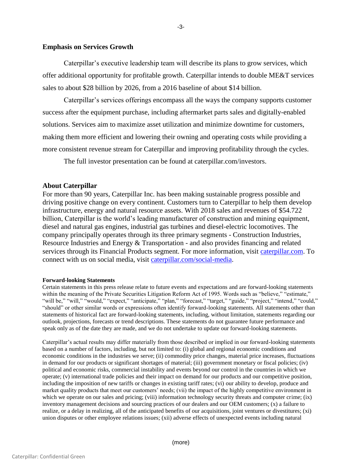#### **Emphasis on Services Growth**

Caterpillar's executive leadership team will describe its plans to grow services, which offer additional opportunity for profitable growth. Caterpillar intends to double ME&T services sales to about \$28 billion by 2026, from a 2016 baseline of about \$14 billion.

Caterpillar's services offerings encompass all the ways the company supports customer success after the equipment purchase, including aftermarket parts sales and digitally-enabled solutions. Services aim to maximize asset utilization and minimize downtime for customers, making them more efficient and lowering their owning and operating costs while providing a more consistent revenue stream for Caterpillar and improving profitability through the cycles.

The full investor presentation can be found at caterpillar.com/investors.

#### **About Caterpillar**

For more than 90 years, Caterpillar Inc. has been making sustainable progress possible and driving positive change on every continent. Customers turn to Caterpillar to help them develop infrastructure, energy and natural resource assets. With 2018 sales and revenues of \$54.722 billion, Caterpillar is the world's leading manufacturer of construction and mining equipment, diesel and natural gas engines, industrial gas turbines and diesel-electric locomotives. The company principally operates through its three primary segments - Construction Industries, Resource Industries and Energy & Transportation - and also provides financing and related services through its Financial Products segment. For more information, visit [caterpillar.com.](http://www.caterpillar.com/) To connect with us on social media, visit [caterpillar.com/social-media.](http://www.caterpillar.com/social-media)

#### **Forward-looking Statements**

Certain statements in this press release relate to future events and expectations and are forward-looking statements within the meaning of the Private Securities Litigation Reform Act of 1995. Words such as "believe," "estimate," "will be," "will," "would," "expect," "anticipate," "plan," "forecast," "target," "guide," "project," "intend," "could," "should" or other similar words or expressions often identify forward-looking statements. All statements other than statements of historical fact are forward-looking statements, including, without limitation, statements regarding our outlook, projections, forecasts or trend descriptions. These statements do not guarantee future performance and speak only as of the date they are made, and we do not undertake to update our forward-looking statements.

Caterpillar's actual results may differ materially from those described or implied in our forward-looking statements based on a number of factors, including, but not limited to: (i) global and regional economic conditions and economic conditions in the industries we serve; (ii) commodity price changes, material price increases, fluctuations in demand for our products or significant shortages of material; (iii) government monetary or fiscal policies; (iv) political and economic risks, commercial instability and events beyond our control in the countries in which we operate; (v) international trade policies and their impact on demand for our products and our competitive position, including the imposition of new tariffs or changes in existing tariff rates; (vi) our ability to develop, produce and market quality products that meet our customers' needs; (vii) the impact of the highly competitive environment in which we operate on our sales and pricing; (viii) information technology security threats and computer crime; (ix) inventory management decisions and sourcing practices of our dealers and our OEM customers; (x) a failure to realize, or a delay in realizing, all of the anticipated benefits of our acquisitions, joint ventures or divestitures; (xi) union disputes or other employee relations issues; (xii) adverse effects of unexpected events including natural